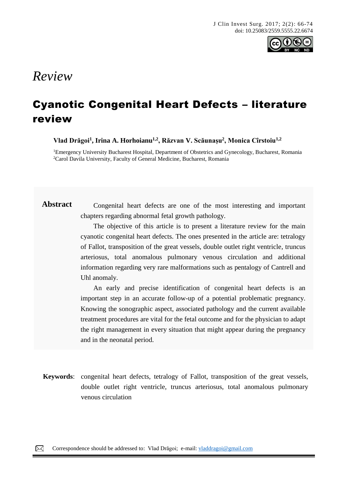

# *Review*

# Cyanotic Congenital Heart Defects – literature review

**Vlad Drăgoi<sup>1</sup> , Irina A. Horhoianu1,2, Răzvan V. Scăunașu<sup>2</sup> , Monica Cîrstoiu1,2**

<sup>1</sup>Emergency University Bucharest Hospital, Department of Obstetrics and Gynecology, Bucharest, Romania <sup>2</sup>Carol Davila University, Faculty of General Medicine, Bucharest, Romania

Abstract Congenital heart defects are one of the most interesting and important chapters regarding abnormal fetal growth pathology.

> The objective of this article is to present a literature review for the main cyanotic congenital heart defects. The ones presented in the article are: tetralogy of Fallot, transposition of the great vessels, double outlet right ventricle, truncus arteriosus, total anomalous pulmonary venous circulation and additional information regarding very rare malformations such as pentalogy of Cantrell and Uhl anomaly.

> An early and precise identification of congenital heart defects is an important step in an accurate follow-up of a potential problematic pregnancy. Knowing the sonographic aspect, associated pathology and the current available treatment procedures are vital for the fetal outcome and for the physician to adapt the right management in every situation that might appear during the pregnancy and in the neonatal period.

**Keywords**: congenital heart defects, tetralogy of Fallot, transposition of the great vessels, double outlet right ventricle, truncus arteriosus, total anomalous pulmonary venous circulation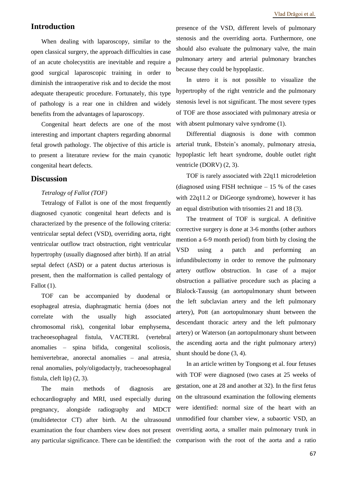# **Introduction**

When dealing with laparoscopy, similar to the open classical surgery, the approach difficulties in case of an acute cholecystitis are inevitable and require a good surgical laparoscopic training in order to diminish the intraoperative risk and to decide the most adequate therapeutic procedure. Fortunately, this type of pathology is a rear one in children and widely benefits from the advantages of laparoscopy.

Congenital heart defects are one of the most interesting and important chapters regarding abnormal fetal growth pathology. The objective of this article is to present a literature review for the main cyanotic congenital heart defects.

# **Discussion**

### *Tetralogy of Fallot (TOF)*

Tetralogy of Fallot is one of the most frequently diagnosed cyanotic congenital heart defects and is characterized by the presence of the following criteria: ventricular septal defect (VSD), overriding aorta, right ventricular outflow tract obstruction, right ventricular hypertrophy (usually diagnosed after birth). If an atrial septal defect (ASD) or a patent ductus arteriosus is present, then the malformation is called pentalogy of Fallot (1).

TOF can be accompanied by duodenal or esophageal atresia, diaphragmatic hernia (does not correlate with the usually high associated chromosomal risk), congenital lobar emphysema, tracheoesophageal fistula, VACTERL (vertebral anomalies – spina bifida, congenital scoliosis, hemivertebrae, anorectal anomalies – anal atresia, renal anomalies, poly/oligodactyly, tracheoesophageal fistula, cleft lip) (2, 3).

The main methods of diagnosis are echocardiography and MRI, used especially during pregnancy, alongside radiography and MDCT (multidetector CT) after birth. At the ultrasound examination the four chambers view does not present any particular significance. There can be identified: the

presence of the VSD, different levels of pulmonary stenosis and the overriding aorta. Furthermore, one should also evaluate the pulmonary valve, the main pulmonary artery and arterial pulmonary branches because they could be hypoplastic.

In utero it is not possible to visualize the hypertrophy of the right ventricle and the pulmonary stenosis level is not significant. The most severe types of TOF are those associated with pulmonary atresia or with absent pulmonary valve syndrome  $(1)$ .

Differential diagnosis is done with common arterial trunk, Ebstein's anomaly, pulmonary atresia, hypoplastic left heart syndrome, double outlet right ventricle (DORV) (2, 3).

TOF is rarely associated with 22q11 microdeletion (diagnosed using FISH technique  $-15%$  of the cases with 22q11.2 or DiGeorge syndrome), however it has an equal distribution with trisomies 21 and 18 (3).

The treatment of TOF is surgical. A definitive corrective surgery is done at 3-6 months (other authors mention a 6-9 month period) from birth by closing the VSD using a patch and performing an infundibulectomy in order to remove the pulmonary artery outflow obstruction. In case of a major obstruction a palliative procedure such as placing a Blalock-Taussig (an aortopulmonary shunt between the left subclavian artery and the left pulmonary artery), Pott (an aortopulmonary shunt between the descendant thoracic artery and the left pulmonary artery) or Waterson (an aortopulmonary shunt between the ascending aorta and the right pulmonary artery) shunt should be done (3, 4).

In an article written by Tongsong et al. four fetuses with TOF were diagnosed (two cases at 25 weeks of gestation, one at 28 and another at 32). In the first fetus on the ultrasound examination the following elements were identified: normal size of the heart with an unmodified four chamber view, a subaortic VSD, an overriding aorta, a smaller main pulmonary trunk in comparison with the root of the aorta and a ratio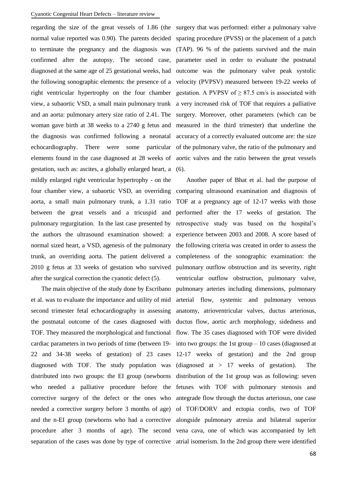#### Cyanotic Congenital Heart Defects – literature review

regarding the size of the great vessels of 1.86 (the surgery that was performed: either a pulmonary valve gestation, such as: ascites, a globally enlarged heart, a (6). mildly enlarged right ventricular hypertrophy - on the four chamber view, a subaortic VSD, an overriding comparing ultrasound examination and diagnosis of aorta, a small main pulmonary trunk, a 1.31 ratio TOF at a pregnancy age of 12-17 weeks with those between the great vessels and a tricuspid and pulmonary regurgitation. In the last case presented by the authors the ultrasound examination showed: a normal sized heart, a VSD, agenesis of the pulmonary trunk, an overriding aorta. The patient delivered a 2010 g fetus at 33 weeks of gestation who survived after the surgical correction the cyanotic defect (5).

The main objective of the study done by Escribano et al. was to evaluate the importance and utility of mid second trimester fetal echocardiography in assessing the postnatal outcome of the cases diagnosed with TOF. They measured the morphological and functional cardiac parameters in two periods of time (between 19- 22 and 34-38 weeks of gestation) of 23 cases diagnosed with TOF. The study population was distributed into two groups: the EI group (newborns who needed a palliative procedure before the corrective surgery of the defect or the ones who needed a corrective surgery before 3 months of age) and the n-EI group (newborns who had a corrective alongside pulmonary atresia and bilateral superior procedure after 3 months of age). The second vena cava, one of which was accompanied by left separation of the cases was done by type of corrective atrial isomerism. In the 2nd group there were identified

normal value reported was 0.90). The parents decided sparing procedure (PVSS) or the placement of a patch to terminate the pregnancy and the diagnosis was (TAP). 96 % of the patients survived and the main confirmed after the autopsy. The second case, parameter used in order to evaluate the postnatal diagnosed at the same age of 25 gestational weeks, had outcome was the pulmonary valve peak systolic the following sonographic elements: the presence of a velocity (PVPSV) measured between 19-22 weeks of right ventricular hypertrophy on the four chamber gestation. A PVPSV of  $\geq 87.5$  cm/s is associated with view, a subaortic VSD, a small main pulmonary trunk a very increased risk of TOF that requires a palliative and an aorta: pulmonary artery size ratio of 2.41. The surgery. Moreover, other parameters (which can be woman gave birth at 38 weeks to a 2740 g fetus and measured in the third trimester) that underline the the diagnosis was confirmed following a neonatal accuracy of a correctly evaluated outcome are: the size echocardiography. There were some particular of the pulmonary valve, the ratio of the pulmonary and elements found in the case diagnosed at 28 weeks of aortic valves and the ratio between the great vessels

> Another paper of Bhat et al. had the purpose of performed after the 17 weeks of gestation. The retrospective study was based on the hospital's experience between 2003 and 2008. A score based of the following criteria was created in order to assess the completeness of the sonographic examination: the pulmonary outflow obstruction and its severity, right ventricular outflow obstruction, pulmonary valve, pulmonary arteries including dimensions, pulmonary arterial flow, systemic and pulmonary venous anatomy, atrioventricular valves, ductus arteriosus, ductus flow, aortic arch morphology, sidedness and flow. The 35 cases diagnosed with TOF were divided into two groups: the 1st group  $-10$  cases (diagnosed at 12-17 weeks of gestation) and the 2nd group (diagnosed at > 17 weeks of gestation). The distribution of the 1st group was as following: seven fetuses with TOF with pulmonary stenosis and antegrade flow through the ductus arteriosus, one case of TOF/DORV and ectopia cordis, two of TOF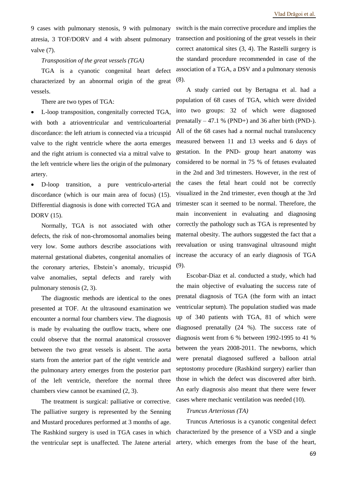9 cases with pulmonary stenosis, 9 with pulmonary atresia, 3 TOF/DORV and 4 with absent pulmonary valve (7).

### *Transposition of the great vessels (TGA)*

TGA is a cyanotic congenital heart defect characterized by an abnormal origin of the great vessels.

There are two types of TGA:

• L-loop transposition, congenitally corrected TGA, with both a atrioventricular and ventriculoarterial discordance: the left atrium is connected via a tricuspid valve to the right ventricle where the aorta emerges and the right atrium is connected via a mitral valve to the left ventricle where lies the origin of the pulmonary artery.

• D-loop transition, a pure ventriculo-arterial discordance (which is our main area of focus) (15). Differential diagnosis is done with corrected TGA and DORV (15).

Normally, TGA is not associated with other defects, the risk of non-chromosomal anomalies being very low. Some authors describe associations with maternal gestational diabetes, congenital anomalies of the coronary arteries, Ebstein's anomaly, tricuspid valve anomalies, septal defects and rarely with pulmonary stenosis (2, 3).

The diagnostic methods are identical to the ones presented at TOF. At the ultrasound examination we encounter a normal four chambers view. The diagnosis is made by evaluating the outflow tracts, where one could observe that the normal anatomical crossover between the two great vessels is absent. The aorta starts from the anterior part of the right ventricle and the pulmonary artery emerges from the posterior part of the left ventricle, therefore the normal three chambers view cannot be examined (2, 3).

The treatment is surgical: palliative or corrective. The palliative surgery is represented by the Senning and Mustard procedures performed at 3 months of age. The Rashkind surgery is used in TGA cases in which the ventricular sept is unaffected. The Jatene arterial

switch is the main corrective procedure and implies the transection and positioning of the great vessels in their correct anatomical sites (3, 4). The Rastelli surgery is the standard procedure recommended in case of the association of a TGA, a DSV and a pulmonary stenosis (8).

A study carried out by Bertagna et al. had a population of 68 cases of TGA, which were divided into two groups: 32 of which were diagnosed prenatally – 47.1 % (PND+) and 36 after birth (PND-). All of the 68 cases had a normal nuchal translucency measured between 11 and 13 weeks and 6 days of gestation. In the PND- group heart anatomy was considered to be normal in 75 % of fetuses evaluated in the 2nd and 3rd trimesters. However, in the rest of the cases the fetal heart could not be correctly visualized in the 2nd trimester, even though at the 3rd trimester scan it seemed to be normal. Therefore, the main inconvenient in evaluating and diagnosing correctly the pathology such as TGA is represented by maternal obesity. The authors suggested the fact that a reevaluation or using transvaginal ultrasound might increase the accuracy of an early diagnosis of TGA (9).

Escobar-Diaz et al. conducted a study, which had the main objective of evaluating the success rate of prenatal diagnosis of TGA (the form with an intact ventricular septum). The population studied was made up of 340 patients with TGA, 81 of which were diagnosed prenatally (24 %). The success rate of diagnosis went from 6 % between 1992-1995 to 41 % between the years 2008-2011. The newborns, which were prenatal diagnosed suffered a balloon atrial septostomy procedure (Rashkind surgery) earlier than those in which the defect was discovered after birth. An early diagnosis also meant that there were fewer cases where mechanic ventilation was needed (10).

# *Truncus Arteriosus (TA)*

Truncus Arteriosus is a cyanotic congenital defect characterized by the presence of a VSD and a single artery, which emerges from the base of the heart,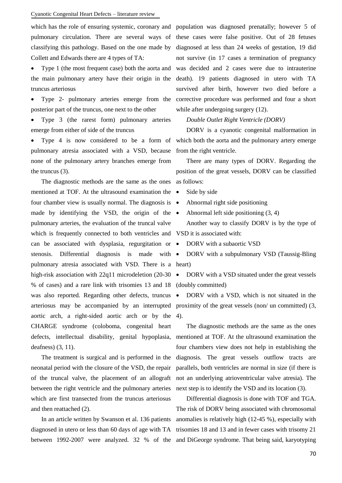#### Cyanotic Congenital Heart Defects – literature review

which has the role of ensuring systemic, coronary and pulmonary circulation. There are several ways of classifying this pathology. Based on the one made by Collett and Edwards there are 4 types of TA:

Type 1 (the most frequent case) both the aorta and the main pulmonary artery have their origin in the truncus arteriosus

• Type 2- pulmonary arteries emerge from the posterior part of the truncus, one next to the other

• Type 3 (the rarest form) pulmonary arteries emerge from either of side of the truncus

• Type 4 is now considered to be a form of pulmonary atresia associated with a VSD, because none of the pulmonary artery branches emerge from the truncus (3).

The diagnostic methods are the same as the ones as follows: mentioned at TOF. At the ultrasound examination the four chamber view is usually normal. The diagnosis is  $\bullet$ made by identifying the VSD, the origin of the  $\bullet$ pulmonary arteries, the evaluation of the truncal valve which is frequently connected to both ventricles and VSD it is associated with: can be associated with dysplasia, regurgitation or stenosis. Differential diagnosis is made with  $\bullet$ pulmonary atresia associated with VSD. There is a heart) high-risk association with 22q11 microdeletion (20-30  $\bullet$ % of cases) and a rare link with trisomies 13 and 18 was also reported. Regarding other defects, truncus aortic arch, a right-sided aortic arch or by the 4). CHARGE syndrome (coloboma, congenital heart defects, intellectual disability, genital hypoplasia, deafness) (3, 11).

The treatment is surgical and is performed in the neonatal period with the closure of the VSD, the repair of the truncal valve, the placement of an allograft between the right ventricle and the pulmonary arteries which are first transected from the truncus arteriosus and then reattached (2).

between 1992-2007 were analyzed. 32 % of the and DiGeorge syndrome. That being said, karyotyping

population was diagnosed prenatally; however 5 of these cases were false positive. Out of 28 fetuses diagnosed at less than 24 weeks of gestation, 19 did not survive (in 17 cases a termination of pregnancy was decided and 2 cases were due to intrauterine death). 19 patients diagnosed in utero with TA survived after birth, however two died before a corrective procedure was performed and four a short while after undergoing surgery  $(12)$ .

#### *Double Outlet Right Ventricle (DORV)*

DORV is a cyanotic congenital malformation in which both the aorta and the pulmonary artery emerge from the right ventricle.

There are many types of DORV. Regarding the position of the great vessels, DORV can be classified

- Side by side
- Abnormal right side positioning
- Abnormal left side positioning (3, 4)

Another way to classify DORV is by the type of

• DORV with a subaortic VSD

• DORV with a subpulmonary VSD (Taussig-Bling

DORV with a VSD situated under the great vessels (doubly committed)

arteriosus may be accompanied by an interrupted proximity of the great vessels (non/ un committed) (3, • DORV with a VSD, which is not situated in the

> The diagnostic methods are the same as the ones mentioned at TOF. At the ultrasound examination the four chambers view does not help in establishing the diagnosis. The great vessels outflow tracts are parallels, both ventricles are normal in size (if there is not an underlying atrioventricular valve atresia). The next step is to identify the VSD and its location (3).

In an article written by Swanson et al. 136 patients anomalies is relatively high (12-45 %), especially with diagnosed in utero or less than 60 days of age with TA trisomies 18 and 13 and in fewer cases with trisomy 21 Differential diagnosis is done with TOF and TGA. The risk of DORV being associated with chromosomal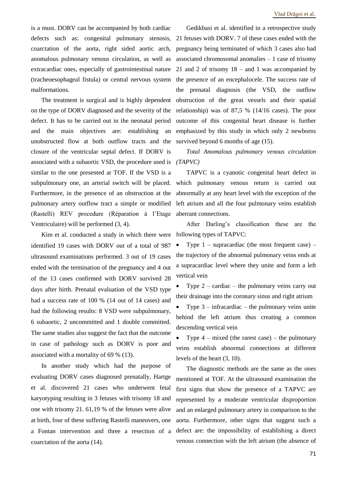is a must. DORV can be accompanied by both cardiac defects such as: congenital pulmonary stenosis, coarctation of the aorta, right sided aortic arch, anomalous pulmonary venous circulation, as well as extracardiac ones, especially of gastrointestinal nature (tracheoesophageal fistula) or central nervous system malformations.

The treatment is surgical and is highly dependent on the type of DORV diagnosed and the severity of the defect. It has to be carried out in the neonatal period and the main objectives are: establishing an unobstructed flow at both outflow tracts and the closure of the ventricular septal defect. If DORV is associated with a subaortic VSD, the procedure used is similar to the one presented at TOF. If the VSD is a subpulmonary one, an arterial switch will be placed. Furthermore, in the presence of an obstruction at the pulmonary artery outflow tract a simple or modified (Rastelli) REV procedure (Réparation à l'Etage Ventriculaire) will be performed (3, 4).

Kim et al. conducted a study in which there were identified 19 cases with DORV out of a total of 987 ultrasound examinations performed. 3 out of 19 cases ended with the termination of the pregnancy and 4 out of the 13 cases confirmed with DORV survived 28 days after birth. Prenatal evaluation of the VSD type had a success rate of 100 % (14 out of 14 cases) and had the following results: 8 VSD were subpulmonary, 6 subaortic, 2 uncommitted and 1 double committed. The same studies also suggest the fact that the outcome in case of pathology such as DORV is poor and associated with a mortality of 69 % (13).

In another study which had the purpose of evaluating DORV cases diagnosed prenatally, Hartge et al. discovered 21 cases who underwent fetal karyotyping resulting in 3 fetuses with trisomy 18 and one with trisomy 21. 61,19 % of the fetuses were alive at birth, four of these suffering Rastelli maneuvers, one a Fontan intervention and three a resection of a coarctation of the aorta (14).

Gedikbasi et al. identified in a retrospective study 21 fetuses with DORV. 7 of these cases ended with the pregnancy being terminated of which 3 cases also had associated chromosomal anomalies  $-1$  case of trisomy 21 and 2 of trisomy 18 – and 1 was accompanied by the presence of an encephalocele. The success rate of the prenatal diagnosis (the VSD, the outflow obstruction of the great vessels and their spatial relationship) was of 87,5 % (14/16 cases). The poor outcome of this congenital heart disease is further emphasized by this study in which only 2 newborns survived beyond 6 months of age  $(15)$ .

*Total Anomalous pulmonary venous circulation (TAPVC)* 

TAPVC is a cyanotic congenital heart defect in which pulmonary venous return is carried out abnormally at any heart level with the exception of the left atrium and all the four pulmonary veins establish aberrant connections.

After Darling's classification these are the following types of TAPVC:

Type  $1$  – supracardiac (the most frequent case) – the trajectory of the abnormal pulmonary veins ends at a supracardiac level where they unite and form a left vertical vein

Type  $2$  – cardiac – the pulmonary veins carry out their drainage into the coronary sinus and right atrium

Type  $3$  – infracardiac – the pulmonary veins unite behind the left atrium thus creating a common descending vertical vein

Type  $4$  – mixed (the rarest case) – the pulmonary veins establish abnormal connections at different levels of the heart (3, 10).

The diagnostic methods are the same as the ones mentioned at TOF. At the ultrasound examination the first signs that show the presence of a TAPVC are represented by a moderate ventricular disproportion and an enlarged pulmonary artery in comparison to the aorta. Furthermore, other signs that suggest such a defect are: the impossibility of establishing a direct venous connection with the left atrium (the absence of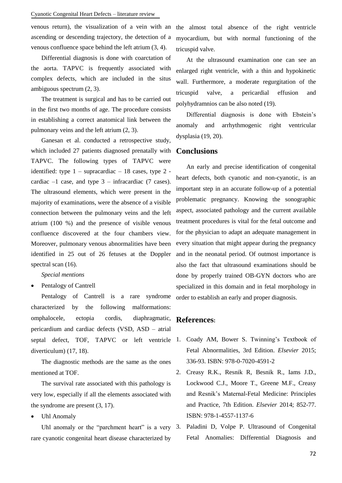#### Cyanotic Congenital Heart Defects – literature review

venous return), the visualization of a vein with an ascending or descending trajectory, the detection of a venous confluence space behind the left atrium (3, 4).

Differential diagnosis is done with coarctation of the aorta. TAPVC is frequently associated with complex defects, which are included in the situs ambiguous spectrum (2, 3).

The treatment is surgical and has to be carried out in the first two months of age. The procedure consists in establishing a correct anatomical link between the pulmonary veins and the left atrium (2, 3).

Ganesan et al. conducted a retrospective study, which included 27 patients diagnosed prenatally with TAPVC. The following types of TAPVC were identified: type  $1$  – supracardiac – 18 cases, type 2 cardiac  $-1$  case, and type  $3$  – infracardiac (7 cases). The ultrasound elements, which were present in the majority of examinations, were the absence of a visible connection between the pulmonary veins and the left atrium (100 %) and the presence of visible venous confluence discovered at the four chambers view. Moreover, pulmonary venous abnormalities have been identified in 25 out of 26 fetuses at the Doppler spectral scan  $(16)$ .

*Special mentions*

• Pentalogy of Cantrell

Pentalogy of Cantrell is a rare syndrome characterized by the following malformations: omphalocele, ectopia cordis, diaphragmatic, pericardium and cardiac defects (VSD, ASD – atrial septal defect, TOF, TAPVC or left ventricle diverticulum) (17, 18).

The diagnostic methods are the same as the ones mentioned at TOF.

The survival rate associated with this pathology is very low, especially if all the elements associated with the syndrome are present (3, 17).

• Uhl Anomaly

Uhl anomaly or the "parchment heart" is a very  $3$ . rare cyanotic congenital heart disease characterized by

the almost total absence of the right ventricle myocardium, but with normal functioning of the tricuspid valve.

At the ultrasound examination one can see an enlarged right ventricle, with a thin and hypokinetic wall. Furthermore, a moderate regurgitation of the tricuspid valve, a pericardial effusion and polyhydramnios can be also noted (19).

Differential diagnosis is done with Ebstein's anomaly and arrhythmogenic right ventricular dysplasia (19, 20).

# **Conclusions**

An early and precise identification of congenital heart defects, both cyanotic and non-cyanotic, is an important step in an accurate follow-up of a potential problematic pregnancy. Knowing the sonographic aspect, associated pathology and the current available treatment procedures is vital for the fetal outcome and for the physician to adapt an adequate management in every situation that might appear during the pregnancy and in the neonatal period. Of outmost importance is also the fact that ultrasound examinations should be done by properly trained OB-GYN doctors who are specialized in this domain and in fetal morphology in order to establish an early and proper diagnosis.

# **References:**

- 1. Coady AM, Bower S. Twinning's Textbook of Fetal Abnormalities, 3rd Edition. *Elsevier* 2015; 336-93. ISBN: 978-0-7020-4591-2
- 2. Creasy R.K., Resnik R, Besnik R., Iams J.D., Lockwood C.J., Moore T., Greene M.F., Creasy and Resnik's Maternal-Fetal Medicine: Principles and Practice, 7th Edition. *Elsevier* 2014; 852-77. ISBN: 978-1-4557-1137-6
	- 3. Paladini D, Volpe P. Ultrasound of Congenital Fetal Anomalies: Differential Diagnosis and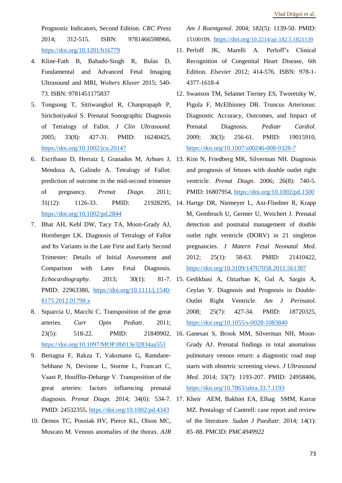Prognostic Indicators, Second Edition. *CRC Press* 2014; 312-515. ISBN: 9781466598966, <https://doi.org/10.1201/b16779>

- 4. Kline-Fath B, Bahado-Singh R, Bulas D, Fundamental and Advanced Fetal Imaging Ultrasound and MRI, *Wolters Kluver* 2015; 540- 73. ISBN: 9781451175837
- 5. Tongsong T, Sittiwangkul R, Chanprapaph P, Sirichotiyakul S. Prenatal Sonographic Diagnosis of Tetralogy of Fallot. *J Clin Ultrasound*. 2005; 33(8): 427-31. PMID: 16240425, <https://doi.org/10.1002/jcu.20147>
- 6. Escribano D, Herraiz I, Granados M, Arbues J, 13. Kim N, Friedberg MK, Silverman NH. Diagnosis Mendoza A, Galindo A. Tetralogy of Fallot: prediction of outcome in the mid-second trimester of pregnancy. *Prenat Diagn*. 2011; 31(12): 1126-33. PMID: 21928295, 14. Hartge DR, Niemeyer L, Axt-Fliedner R, Krapp <https://doi.org/10.1002/pd.2844>
- 7. Bhat AH, Kehl DW, Tacy TA, Moon-Grady AJ, Hornberger LK. Diagnosis of Tetralogy of Fallot and Its Variants in the Late First and Early Second Trimester: Details of Initial Assessment and Comparison with Later Fetal Diagnosis. *Echocardiography.* 2013; 30(1): PMID: 22963380, [https://doi.org/10.1111/j.1540-](https://doi.org/10.1111/j.1540-8175.2012.01798.x) [8175.2012.01798.x](https://doi.org/10.1111/j.1540-8175.2012.01798.x)
- 8. Squarcia U, Macchi C. Transposition of the great arteries. *Curr Opin Pediatr*. 2011; <https://doi.org/10.1097/MOP.0b013e32834aa551>
- 9. Bertagna F, Rakza T, Vaksmann G, Ramdane-Sebbane N, Devisme L, Storme L, Francart C, Vaast P, Houfflin-Debarge V. Transposition of the great arteries: factors influencing prenatal PMID: 24532355,<https://doi.org/10.1002/pd.4343>
- 10. Demos TC, Posniak HV, Pierce KL, Olson MC, Muscato M. Venous anomalies of the thorax. *AJR*

*Am J Roentgenol*. 2004; 182(5): 1139-50. PMID: 15100109, https://doi.org[/10.2214/ajr.182.5.1821139](https://doi.org/10.2214/ajr.182.5.1821139)

- 11. Perloff JK, Marelli A. Perloff's Clinical Recognition of Congenital Heart Disease, 6th Edition. *Elsevier* 2012; 414-576. ISBN: 978-1- 4377-1618-4
- 12. Swanson TM, Selamet Tierney ES, Tworetzky W, Pigula F, McElhinney DB. Truncus Arteriosus: Diagnostic Accuracy, Outcomes, and Impact of Prenatal Diagnosis. *Pediatr Cardiol*. 2009; 30(3): 256-61. PMID: 19015910, <https://doi.org/10.1007/s00246-008-9328-7>
- and prognosis of fetuses with double outlet right ventricle. *Prenat Diagn*. 2006; 26(8): 740-5. PMID: 16807954,<https://doi.org/10.1002/pd.1500>
- M, Gembruch U, Germer U, Weichert J. Prenatal detection and postnatal management of double outlet right ventricle (DORV) in 21 singleton pregnancies. *J Matern Fetal Neonatal Med*. 2012; 25(1): 58-63. PMID: 21410422, <https://doi.org/10.3109/14767058.2011.561387>
- 15. Gedikbasi A, Oztarhan K, Gul A, Sargin A, Ceylan Y. Diagnosis and Prognosis in Double-Outlet Right Ventricle. *Am J Perinatol*. 2008; 25(7): 427-34. PMID: 18720325, <https://doi.org/10.1055/s-0028-1083840>
- 23(5): 518-22. PMID: 21849902, 16. Ganesan S, Brook MM, Silverman NH, Moon-Grady AJ. Prenatal findings in total anomalous pulmonary venous return: a diagnostic road map starts with obstetric screening views. *J Ultrasound Med*. 2014; 33(7): 1193-207. PMID: 24958406, <https://doi.org/10.7863/ultra.33.7.1193>
- diagnosis. *Prenat Diagn*. 2014; 34(6): 534-7. 17. Kheir AEM, Bakhiet EA, Elhag SMM, Karrar MZ. Pentalogy of Cantrell: case report and review of the literature. *Sudan J Paediatr*. 2014; 14(1): 85–88. PMCID: PMC4949922